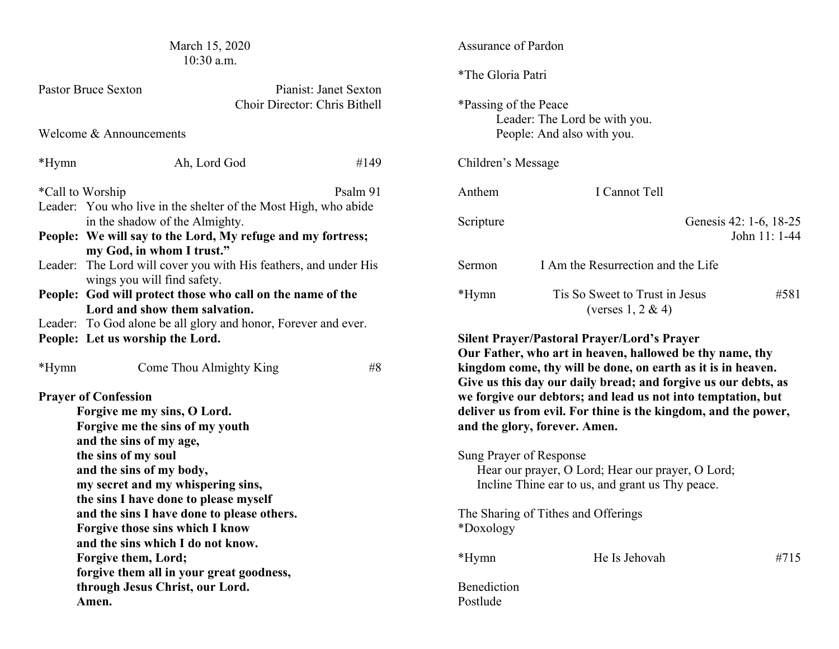| March 15, 2020<br>10:30 a.m.                                                                                               |                                                                                                    |          | Assurance of Pardon                                                                             |                                                                                                                                |                                         |  |
|----------------------------------------------------------------------------------------------------------------------------|----------------------------------------------------------------------------------------------------|----------|-------------------------------------------------------------------------------------------------|--------------------------------------------------------------------------------------------------------------------------------|-----------------------------------------|--|
|                                                                                                                            | <b>Pastor Bruce Sexton</b><br>Pianist: Janet Sexton<br>Choir Director: Chris Bithell               |          | *The Gloria Patri<br>*Passing of the Peace<br>Leader: The Lord be with you.                     |                                                                                                                                |                                         |  |
| Welcome & Announcements                                                                                                    |                                                                                                    |          | People: And also with you.                                                                      |                                                                                                                                |                                         |  |
| *Hymn                                                                                                                      | Ah, Lord God                                                                                       | #149     | Children's Message                                                                              |                                                                                                                                |                                         |  |
| *Call to Worship                                                                                                           | Leader: You who live in the shelter of the Most High, who abide                                    | Psalm 91 | Anthem                                                                                          | I Cannot Tell                                                                                                                  |                                         |  |
| in the shadow of the Almighty.<br>People: We will say to the Lord, My refuge and my fortress;<br>my God, in whom I trust." |                                                                                                    |          | Scripture                                                                                       |                                                                                                                                | Genesis 42: 1-6, 18-25<br>John 11: 1-44 |  |
|                                                                                                                            | Leader: The Lord will cover you with His feathers, and under His<br>wings you will find safety.    |          |                                                                                                 | I Am the Resurrection and the Life                                                                                             |                                         |  |
|                                                                                                                            | People: God will protect those who call on the name of the<br>Lord and show them salvation.        |          |                                                                                                 | Tis So Sweet to Trust in Jesus<br>(verses $1, 2 \& 4$ )                                                                        | #581                                    |  |
|                                                                                                                            | Leader: To God alone be all glory and honor, Forever and ever.<br>People: Let us worship the Lord. |          |                                                                                                 | <b>Silent Prayer/Pastoral Prayer/Lord's Prayer</b><br>Our Father, who art in heaven, hallowed be thy name, thy                 |                                         |  |
| *Hymn                                                                                                                      | Come Thou Almighty King                                                                            | #8       |                                                                                                 | kingdom come, thy will be done, on earth as it is in heaven.<br>Give us this day our daily bread; and forgive us our debts, as |                                         |  |
|                                                                                                                            | <b>Prayer of Confession</b>                                                                        |          |                                                                                                 | we forgive our debtors; and lead us not into temptation, but                                                                   |                                         |  |
| Forgive me my sins, O Lord.                                                                                                |                                                                                                    |          | deliver us from evil. For thine is the kingdom, and the power,<br>and the glory, forever. Amen. |                                                                                                                                |                                         |  |
|                                                                                                                            | Forgive me the sins of my youth<br>and the sins of my age,                                         |          |                                                                                                 |                                                                                                                                |                                         |  |
|                                                                                                                            | the sins of my soul                                                                                |          |                                                                                                 | Sung Prayer of Response                                                                                                        |                                         |  |
| and the sins of my body,                                                                                                   |                                                                                                    |          | Hear our prayer, O Lord; Hear our prayer, O Lord;                                               |                                                                                                                                |                                         |  |
| my secret and my whispering sins,                                                                                          |                                                                                                    |          |                                                                                                 | Incline Thine ear to us, and grant us Thy peace.                                                                               |                                         |  |
| the sins I have done to please myself                                                                                      |                                                                                                    |          |                                                                                                 |                                                                                                                                |                                         |  |
| and the sins I have done to please others.<br>Forgive those sins which I know                                              |                                                                                                    |          | *Doxology                                                                                       | The Sharing of Tithes and Offerings                                                                                            |                                         |  |
| and the sins which I do not know.<br>Forgive them, Lord;                                                                   |                                                                                                    |          |                                                                                                 |                                                                                                                                |                                         |  |
|                                                                                                                            |                                                                                                    |          | *Hymn                                                                                           | He Is Jehovah                                                                                                                  | #715                                    |  |
|                                                                                                                            | forgive them all in your great goodness,                                                           |          |                                                                                                 |                                                                                                                                |                                         |  |
| through Jesus Christ, our Lord.                                                                                            |                                                                                                    |          | Benediction<br>Postlude                                                                         |                                                                                                                                |                                         |  |
| Amen.                                                                                                                      |                                                                                                    |          |                                                                                                 |                                                                                                                                |                                         |  |